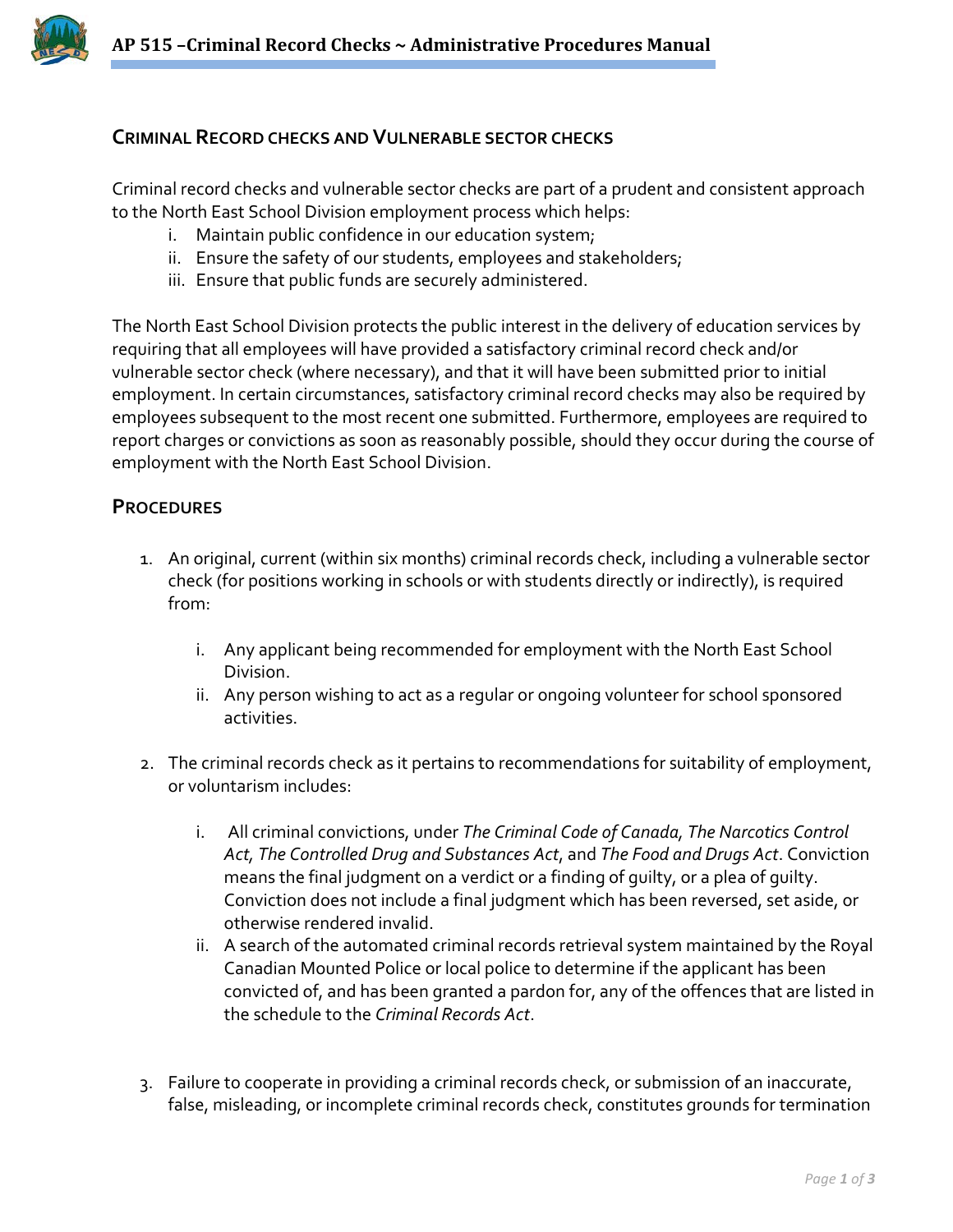

## **CRIMINAL RECORD CHECKS AND VULNERABLE SECTOR CHECKS**

Criminal record checks and vulnerable sector checks are part of a prudent and consistent approach to the North East School Division employment process which helps:

- i. Maintain public confidence in our education system;
- ii. Ensure the safety of our students, employees and stakeholders;
- iii. Ensure that public funds are securely administered.

The North East School Division protects the public interest in the delivery of education services by requiring that all employees will have provided a satisfactory criminal record check and/or vulnerable sector check (where necessary), and that it will have been submitted prior to initial employment. In certain circumstances, satisfactory criminal record checks may also be required by employees subsequent to the most recent one submitted. Furthermore, employees are required to report charges or convictions as soon as reasonably possible, should they occur during the course of employment with the North East School Division.

## **PROCEDURES**

- 1. An original, current (within six months) criminal records check, including a vulnerable sector check (for positions working in schools or with students directly or indirectly), is required from:
	- i. Any applicant being recommended for employment with the North East School Division.
	- ii. Any person wishing to act as a regular or ongoing volunteer for school sponsored activities.
- 2. The criminal records check as it pertains to recommendations for suitability of employment, or voluntarism includes:
	- i. All criminal convictions, under *The Criminal Code of Canada, The Narcotics Control Act, The Controlled Drug and Substances Act*, and *The Food and Drugs Act*. Conviction means the final judgment on a verdict or a finding of guilty, or a plea of guilty. Conviction does not include a final judgment which has been reversed, set aside, or otherwise rendered invalid.
	- ii. A search of the automated criminal records retrieval system maintained by the Royal Canadian Mounted Police or local police to determine if the applicant has been convicted of, and has been granted a pardon for, any of the offences that are listed in the schedule to the *Criminal Records Act*.
- 3. Failure to cooperate in providing a criminal records check, or submission of an inaccurate, false, misleading, or incomplete criminal records check, constitutes grounds for termination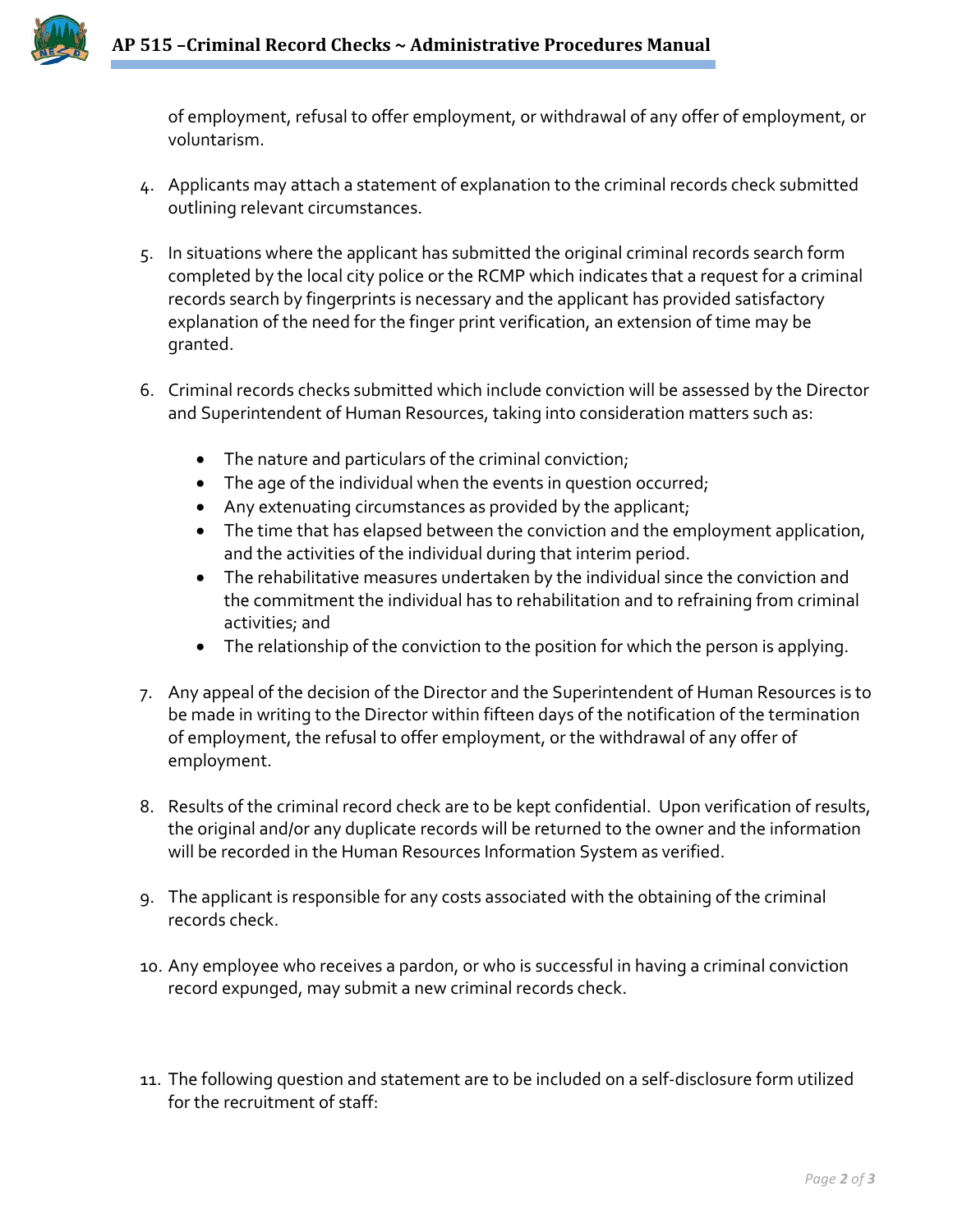

of employment, refusal to offer employment, or withdrawal of any offer of employment, or voluntarism.

- 4. Applicants may attach a statement of explanation to the criminal records check submitted outlining relevant circumstances.
- 5. In situations where the applicant has submitted the original criminal records search form completed by the local city police or the RCMP which indicates that a request for a criminal records search by fingerprints is necessary and the applicant has provided satisfactory explanation of the need for the finger print verification, an extension of time may be granted.
- 6. Criminal records checks submitted which include conviction will be assessed by the Director and Superintendent of Human Resources, taking into consideration matters such as:
	- The nature and particulars of the criminal conviction;
	- The age of the individual when the events in question occurred;
	- Any extenuating circumstances as provided by the applicant;
	- The time that has elapsed between the conviction and the employment application, and the activities of the individual during that interim period.
	- The rehabilitative measures undertaken by the individual since the conviction and the commitment the individual has to rehabilitation and to refraining from criminal activities; and
	- The relationship of the conviction to the position for which the person is applying.
- 7. Any appeal of the decision of the Director and the Superintendent of Human Resources is to be made in writing to the Director within fifteen days of the notification of the termination of employment, the refusal to offer employment, or the withdrawal of any offer of employment.
- 8. Results of the criminal record check are to be kept confidential. Upon verification of results, the original and/or any duplicate records will be returned to the owner and the information will be recorded in the Human Resources Information System as verified.
- 9. The applicant is responsible for any costs associated with the obtaining of the criminal records check.
- 10. Any employee who receives a pardon, or who is successful in having a criminal conviction record expunged, may submit a new criminal records check.
- 11. The following question and statement are to be included on a self-disclosure form utilized for the recruitment of staff: